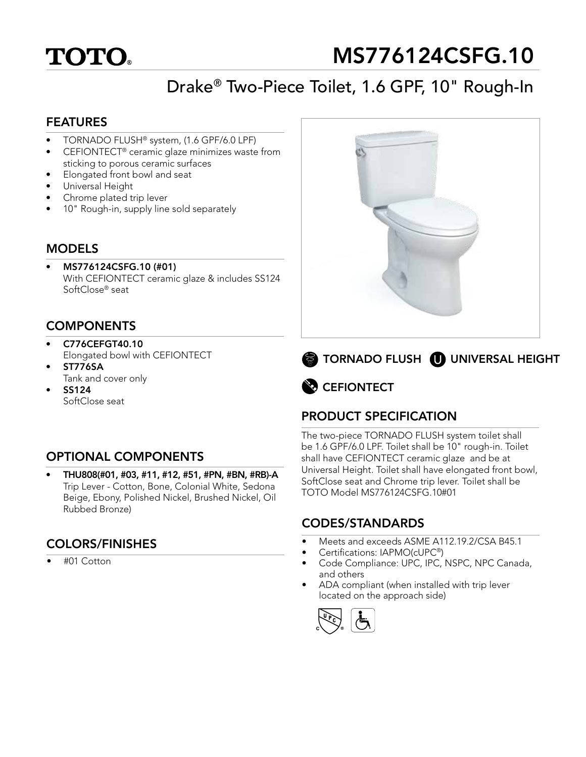

# MS776124CSFG.10

## Drake® Two-Piece Toilet, 1.6 GPF, 10" Rough-In

#### FEATURES

- TORNADO FLUSH® system, (1.6 GPF/6.0 LPF)
- CEFIONTECT® ceramic glaze minimizes waste from sticking to porous ceramic surfaces
- Elongated front bowl and seat
- Universal Height
- Chrome plated trip lever
- 10" Rough-in, supply line sold separately

#### MODELS

• MS776124CSFG.10 (#01) With CEFIONTECT ceramic glaze & includes SS124 SoftClose® seat

### **COMPONENTS**

- C776CEFGT40.10 Elongated bowl with CEFIONTECT
- ST776SA Tank and cover only
- SS124 SoftClose seat

## OPTIONAL COMPONENTS

• THU808(#01, #03, #11, #12, #51, #PN, #BN, #RB)-A Trip Lever - Cotton, Bone, Colonial White, Sedona Beige, Ebony, Polished Nickel, Brushed Nickel, Oil Rubbed Bronze)

## COLORS/FINISHES

• #01 Cotton





**B** CEFIONTECT

## PRODUCT SPECIFICATION

The two-piece TORNADO FLUSH system toilet shall be 1.6 GPF/6.0 LPF. Toilet shall be 10" rough-in. Toilet shall have CEFIONTECT ceramic glaze and be at Universal Height. Toilet shall have elongated front bowl, SoftClose seat and Chrome trip lever. Toilet shall be TOTO Model MS776124CSFG.10#01

#### CODES/STANDARDS

- Meets and exceeds ASME A112.19.2/CSA B45.1
- Certifications: IAPMO(cUPC®)
- Code Compliance: UPC, IPC, NSPC, NPC Canada, and others
- ADA compliant (when installed with trip lever located on the approach side)